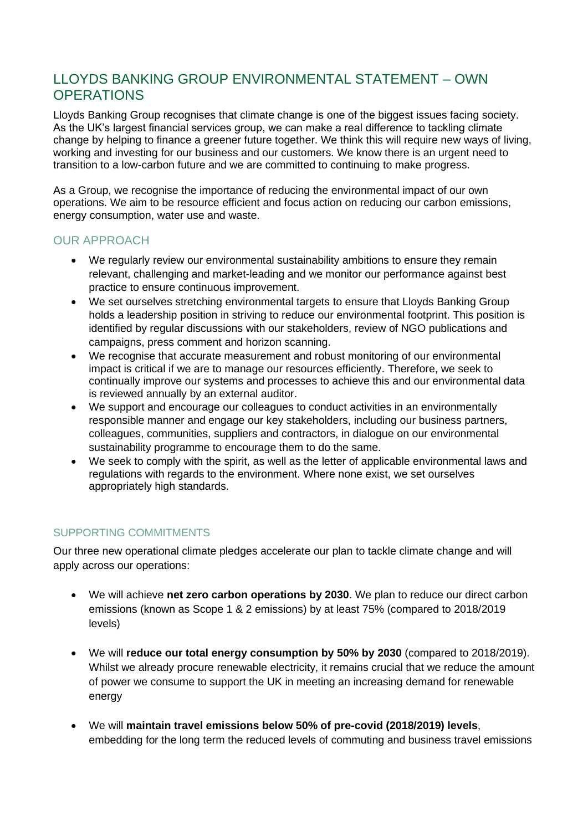## LLOYDS BANKING GROUP ENVIRONMENTAL STATEMENT – OWN **OPERATIONS**

Lloyds Banking Group recognises that climate change is one of the biggest issues facing society. As the UK's largest financial services group, we can make a real difference to tackling climate change by helping to finance a greener future together. We think this will require new ways of living, working and investing for our business and our customers. We know there is an urgent need to transition to a low-carbon future and we are committed to continuing to make progress.

As a Group, we recognise the importance of reducing the environmental impact of our own operations. We aim to be resource efficient and focus action on reducing our carbon emissions, energy consumption, water use and waste.

## OUR APPROACH

- We regularly review our environmental sustainability ambitions to ensure they remain relevant, challenging and market-leading and we monitor our performance against best practice to ensure continuous improvement.
- We set ourselves stretching environmental targets to ensure that Lloyds Banking Group holds a leadership position in striving to reduce our environmental footprint. This position is identified by regular discussions with our stakeholders, review of NGO publications and campaigns, press comment and horizon scanning.
- We recognise that accurate measurement and robust monitoring of our environmental impact is critical if we are to manage our resources efficiently. Therefore, we seek to continually improve our systems and processes to achieve this and our environmental data is reviewed annually by an external auditor.
- We support and encourage our colleagues to conduct activities in an environmentally responsible manner and engage our key stakeholders, including our business partners, colleagues, communities, suppliers and contractors, in dialogue on our environmental sustainability programme to encourage them to do the same.
- We seek to comply with the spirit, as well as the letter of applicable environmental laws and regulations with regards to the environment. Where none exist, we set ourselves appropriately high standards.

## SUPPORTING COMMITMENTS

Our three new operational climate pledges accelerate our plan to tackle climate change and will apply across our operations:

- We will achieve **net zero carbon operations by 2030**. We plan to reduce our direct carbon emissions (known as Scope 1 & 2 emissions) by at least 75% (compared to 2018/2019 levels)
- We will **reduce our total energy consumption by 50% by 2030** (compared to 2018/2019). Whilst we already procure renewable electricity, it remains crucial that we reduce the amount of power we consume to support the UK in meeting an increasing demand for renewable energy
- We will **maintain travel emissions below 50% of pre-covid (2018/2019) levels**, embedding for the long term the reduced levels of commuting and business travel emissions